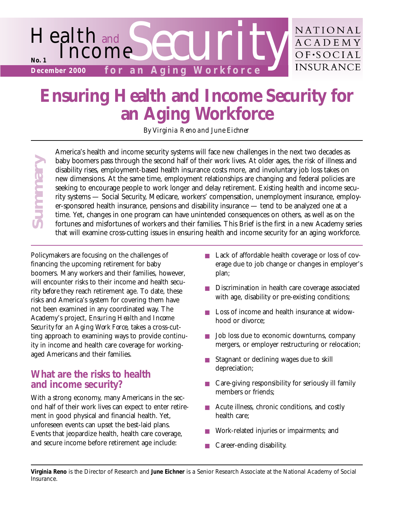

# **Ensuring Health and Income Security for an Aging Workforce**

*By Virginia Reno and June Eichner*

America's health and income security systems will face new challenges in the next two decades as baby boomers pass through the second half of their work lives. At older ages, the risk of illness and disability rises, employment-based health insurance costs more, and involuntary job loss takes on new dimensions. At the same time, employment relationships are changing and federal policies are seeking to encourage people to work longer and delay retirement. Existing health and income security systems — Social Security, Medicare, workers' compensation, unemployment insurance, employer-sponsored health insurance, pensions and disability insurance — tend to be analyzed one at a time. Yet, changes in one program can have unintended consequences on others, as well as on the fortunes and misfortunes of workers and their families. This Brief is the first in a new Academy series that will examine cross-cutting issues in ensuring health and income security for an aging workforce.

**Insurance**<br> **Insurance Summarize Summarize Summarize Summarize Summarize Summarize Summarize Security to the Academy Security to a security to a security to a security to a security in incorrect Security in a security in** Policymakers are focusing on the challenges of financing the upcoming retirement for baby boomers. Many workers and their families, however, will encounter risks to their income and health security *before* they reach retirement age. To date, these risks and America's system for covering them have not been examined in any coordinated way. The Academy's project, *Ensuring Health and Income Security for an Aging Work Force*, takes a cross-cutting approach to examining ways to provide continuity in income and health care coverage for workingaged Americans and their families.

# **What are the risks to health and income security?**

**Summary** 

With a strong economy, many Americans in the second half of their work lives can expect to enter retirement in good physical and financial health. Yet, unforeseen events can upset the best-laid plans. Events that jeopardize health, health care coverage, and secure income before retirement age include:

- Lack of affordable health coverage or loss of coverage due to job change or changes in employer's plan;
- Discrimination in health care coverage associated with age, disability or pre-existing conditions;
- Loss of income and health insurance at widowhood or divorce;
- Job loss due to economic downturns, company mergers, or employer restructuring or relocation;
- Stagnant or declining wages due to skill depreciation;
- Care-giving responsibility for seriously ill family members or friends;
- Acute illness, chronic conditions, and costly health care;
- Work-related injuries or impairments; and
- Career-ending disability.

**Virginia Reno** is the Director of Research and **June Eichner** is a Senior Research Associate at the National Academy of Social Insurance.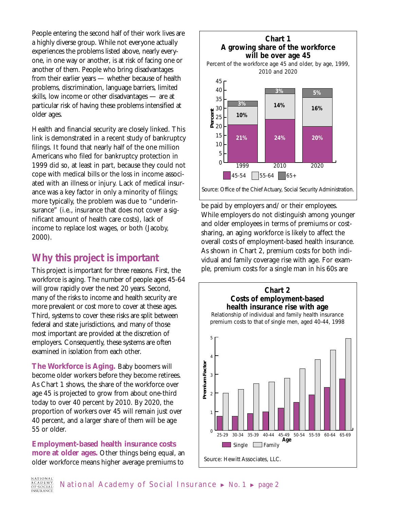People entering the second half of their work lives are a highly diverse group. While not everyone actually experiences the problems listed above, nearly everyone, in one way or another, is at risk of facing one or another of them. People who bring disadvantages from their earlier years — whether because of health problems, discrimination, language barriers, limited skills, low income or other disadvantages — are at particular risk of having these problems intensified at older ages.

Health and financial security are closely linked. This link is demonstrated in a recent study of bankruptcy filings. It found that nearly half of the one million Americans who filed for bankruptcy protection in 1999 did so, at least in part, because they could not cope with medical bills or the loss in income associated with an illness or injury. Lack of medical insurance was a key factor in only a minority of filings; more typically, the problem was due to "underinsurance" (i.e., insurance that does not cover a significant amount of health care costs), lack of income to replace lost wages, or both (Jacoby, 2000).

## **Why this project is important**

This project is important for three reasons. First, the workforce is aging. The number of people ages 45-64 will grow rapidly over the next 20 years. Second, many of the risks to income and health security are more prevalent or cost more to cover at these ages. Third, systems to cover these risks are split between federal and state jurisdictions, and many of those most important are provided at the discretion of employers. Consequently, these systems are often examined in isolation from each other.

**The Workforce is Aging.** Baby boomers will become older workers before they become retirees. As Chart 1 shows, the share of the workforce over age 45 is projected to grow from about one-third today to over 40 percent by 2010. By 2020, the proportion of workers over 45 will remain just over 40 percent, and a larger share of them will be age 55 or older.

**Employment-based health insurance costs more at older ages.** Other things being equal, an older workforce means higher average premiums to



be paid by employers and/or their employees. While employers do not distinguish among younger and older employees in terms of premiums or costsharing, an aging workforce is likely to affect the overall costs of employment-based health insurance. As shown in Chart 2, premium costs for both individual and family coverage rise with age. For example, premium costs for a single man in his 60s are

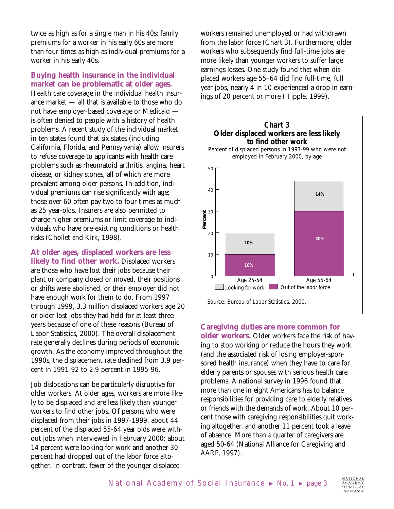twice as high as for a single man in his 40s; family premiums for a worker in his early 60s are more than four times as high as individual premiums for a worker in his early 40s.

## **Buying health insurance in the individual market can be problematic at older ages.**

Health care coverage in the individual health insurance market — all that is available to those who do not have employer-based coverage or Medicaid is often denied to people with a history of health problems. A recent study of the individual market in ten states found that six states (including California, Florida, and Pennsylvania) allow insurers to refuse coverage to applicants with health care problems such as rheumatoid arthritis, angina, heart disease, or kidney stones, all of which are more prevalent among older persons. In addition, individual premiums can rise significantly with age; those over 60 often pay two to four times as much as 25 year-olds. Insurers are also permitted to charge higher premiums or limit coverage to individuals who have pre-existing conditions or health risks (Chollet and Kirk, 1998).

**At older ages, displaced workers are less likely to find other work.** Displaced workers are those who have lost their jobs because their plant or company closed or moved, their positions or shifts were abolished, or their employer did not have enough work for them to do. From 1997 through 1999, 3.3 million displaced workers age 20 or older lost jobs they had held for at least three years because of one of these reasons (Bureau of Labor Statistics, 2000). The overall displacement rate generally declines during periods of economic growth. As the economy improved throughout the 1990s, the displacement rate declined from 3.9 percent in 1991-92 to 2.9 percent in 1995-96.

Job dislocations can be particularly disruptive for older workers. At older ages, workers are more likely to be displaced and are less likely than younger workers to find other jobs. Of persons who were displaced from their jobs in 1997-1999, about 44 percent of the displaced 55-64 year olds were without jobs when interviewed in February 2000: about 14 percent were looking for work and another 30 percent had dropped out of the labor force altogether. In contrast, fewer of the younger displaced

workers remained unemployed or had withdrawn from the labor force (Chart 3). Furthermore, older workers who subsequently find full-time jobs are more likely than younger workers to suffer large earnings losses. One study found that when displaced workers age 55–64 did find full-time, full year jobs, nearly 4 in 10 experienced a drop in earnings of 20 percent or more (Hipple, 1999).



#### **Caregiving duties are more common for**

**older workers.** Older workers face the risk of having to stop working or reduce the hours they work (and the associated risk of losing employer-sponsored health insurance) when they have to care for elderly parents or spouses with serious health care problems. A national survey in 1996 found that more than one in eight Americans has to balance responsibilities for providing care to elderly relatives or friends with the demands of work. About 10 percent those with caregiving responsibilities quit working altogether, and another 11 percent took a leave of absence. More than a quarter of caregivers are aged 50-64 (National Alliance for Caregiving and AARP, 1997).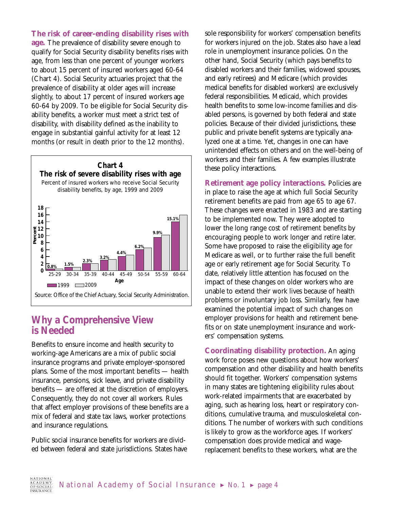**The risk of career-ending disability rises with age.** The prevalence of disability severe enough to qualify for Social Security disability benefits rises with age, from less than one percent of younger workers to about 15 percent of insured workers aged 60-64 (Chart 4). Social Security actuaries project that the prevalence of disability at older ages will increase slightly, to about 17 percent of insured workers age 60-64 by 2009. To be eligible for Social Security disability benefits, a worker must meet a strict test of disability, with disability defined as the inability to engage in substantial gainful activity for at least 12 months (or result in death prior to the 12 months).



## **Why a Comprehensive View is Needed**

Benefits to ensure income and health security to working-age Americans are a mix of public social insurance programs and private employer-sponsored plans. Some of the most important benefits — health insurance, pensions, sick leave, and private disability benefits — are offered at the discretion of employers. Consequently, they do not cover all workers. Rules that affect employer provisions of these benefits are a mix of federal and state tax laws, worker protections and insurance regulations.

Public social insurance benefits for workers are divided between federal and state jurisdictions. States have sole responsibility for workers' compensation benefits for workers injured on the job. States also have a lead role in unemployment insurance policies. On the other hand, Social Security (which pays benefits to disabled workers and their families, widowed spouses, and early retirees) and Medicare (which provides medical benefits for disabled workers) are exclusively federal responsibilities. Medicaid, which provides health benefits to some low-income families and disabled persons, is governed by both federal and state policies. Because of their divided jurisdictions, these public and private benefit systems are typically analyzed one at a time. Yet, changes in one can have unintended effects on others and on the well-being of workers and their families. A few examples illustrate these policy interactions.

**Retirement age policy interactions.** Policies are in place to raise the age at which full Social Security retirement benefits are paid from age 65 to age 67. These changes were enacted in 1983 and are starting to be implemented now. They were adopted to lower the long range cost of retirement benefits by encouraging people to work longer and retire later. Some have proposed to raise the eligibility age for Medicare as well, or to further raise the full benefit age or early retirement age for Social Security. To date, relatively little attention has focused on the impact of these changes on older workers who are unable to extend their work lives because of health problems or involuntary job loss. Similarly, few have examined the potential impact of such changes on employer provisions for health and retirement benefits or on state unemployment insurance and workers' compensation systems.

**Coordinating disability protection.** An aging work force poses new questions about how workers' compensation and other disability and health benefits should fit together. Workers' compensation systems in many states are tightening eligibility rules about work-related impairments that are exacerbated by aging, such as hearing loss, heart or respiratory conditions, cumulative trauma, and musculoskeletal conditions. The number of workers with such conditions is likely to grow as the workforce ages. If workers' compensation does provide medical and wagereplacement benefits to these workers, what are the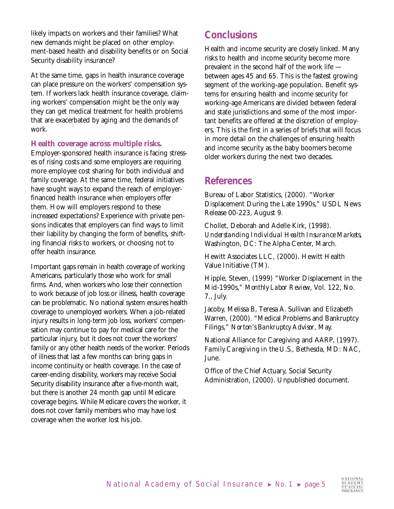likely impacts on workers and their families? What new demands might be placed on other employment-based health and disability benefits or on Social Security disability insurance?

At the same time, gaps in health insurance coverage can place pressure on the workers' compensation system. If workers lack health insurance coverage, claiming workers' compensation might be the only way they can get medical treatment for health problems that are exacerbated by aging and the demands of work.

#### **Health coverage across multiple risks.**

Employer-sponsored health insurance is facing stresses of rising costs and some employers are requiring more employee cost sharing for both individual and family coverage. At the same time, federal initiatives have sought ways to expand the reach of employerfinanced health insurance when employers offer them. How will employers respond to these increased expectations? Experience with private pensions indicates that employers can find ways to limit their liability by changing the form of benefits, shifting financial risks to workers, or choosing not to offer health insurance.

Important gaps remain in health coverage of working Americans, particularly those who work for small firms. And, when workers who lose their connection to work because of job loss or illness, health coverage can be problematic. No national system ensures health coverage to unemployed workers. When a job-related injury results in long-term job loss, workers' compensation may continue to pay for medical care for the particular injury, but it does not cover the workers' family or any other health needs of the worker. Periods of illness that last a few months can bring gaps in income continuity or health coverage. In the case of career-ending disability, workers may receive Social Security disability insurance after a five-month wait, but there is another 24 month gap until Medicare coverage begins. While Medicare covers the worker, it does not cover family members who may have lost coverage when the worker lost his job.

# **Conclusions**

Health and income security are closely linked. Many risks to health and income security become more prevalent in the second half of the work life between ages 45 and 65. This is the fastest growing segment of the working-age population. Benefit systems for ensuring health and income security for working-age Americans are divided between federal and state jurisdictions and some of the most important benefits are offered at the discretion of employers. This is the first in a series of briefs that will focus in more detail on the challenges of ensuring health and income security as the baby boomers become older workers during the next two decades.

## **References**

Bureau of Labor Statistics, (2000). "Worker Displacement During the Late 1990s," USDL News Release 00-223, August 9.

Chollet, Deborah and Adelle Kirk, (1998). *Understanding Individual Health Insurance Markets,* Washington, DC: The Alpha Center, March.

Hewitt Associates LLC, (2000). Hewitt Health Value Initiative (TM).

Hipple, Steven, (1999) "Worker Displacement in the Mid-1990s," *Monthly Labor Review*, Vol. 122, No. 7., July.

Jacoby, Melissa B, Teresa A. Sullivan and Elizabeth Warren, (2000). "Medical Problems and Bankruptcy Filings," *Norton's Bankruptcy Advisor*, May.

National Alliance for Caregiving and AARP, (1997). *Family Caregiving in the U.S.*, Bethesda, MD: NAC, June.

Office of the Chief Actuary, Social Security Administration, (2000). Unpublished document.